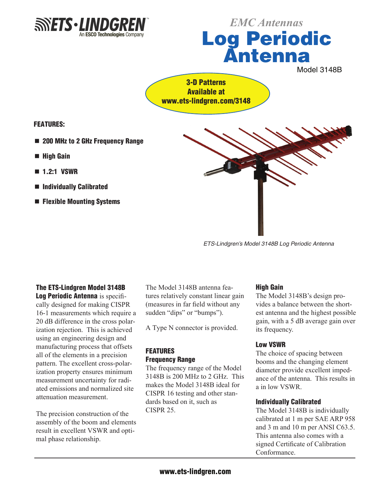

# Log Periodic Antenna *EMC Antennas*

Model 3148B

3-D Patterns Available at www.ets-lindgren.com/3148

Features:

- 200 MHz to 2 GHz Frequency Range
- High Gain
- $\blacksquare$  1.2:1 VSWR
- Individually Calibrated
- $\blacksquare$  Flexible Mounting Systems



*ETS-Lindgren's Model 3148B Log Periodic Antenna*

### The ETS-Lindgren Model 3148B

Log Periodic Antenna is specifically designed for making CISPR 16-1 measurements which require a 20 dB difference in the cross polarization rejection. This is achieved using an engineering design and manufacturing process that offsets all of the elements in a precision pattern. The excellent cross-polarization property ensures minimum measurement uncertainty for radiated emissions and normalized site attenuation measurement.

The precision construction of the assembly of the boom and elements result in excellent VSWR and optimal phase relationship.

The Model 3148B antenna features relatively constant linear gain (measures in far field without any sudden "dips" or "bumps").

A Type N connector is provided.

### FEATURES Frequency Range

The frequency range of the Model 3148B is 200 MHz to 2 GHz. This makes the Model 3148B ideal for CISPR 16 testing and other standards based on it, such as CISPR 25.

### High Gain

The Model 3148B's design provides a balance between the shortest antenna and the highest possible gain, with a 5 dB average gain over its frequency.

### Low VSWR

The choice of spacing between booms and the changing element diameter provide excellent impedance of the antenna. This results in a in low VSWR.

### Individually Calibrated

The Model 3148B is individually calibrated at 1 m per SAE ARP 958 and 3 m and 10 m per ANSI C63.5. This antenna also comes with a signed Certificate of Calibration Conformance.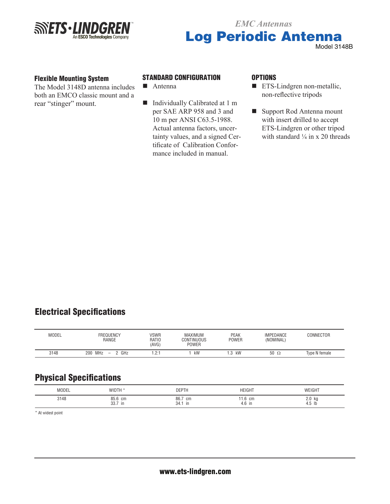

# Log Periodic Antenna *EMC Antennas* Model 3148B

#### Flexible Mounting System

The Model 3148D antenna includes both an EMCO classic mount and a rear "stinger" mount.

### Standard configuration

- $A$ ntenna
- Individually Calibrated at 1 m per SAE ARP 958 and 3 and 10 m per ANSI C63.5-1988. Actual antenna factors, uncertainty values, and a signed Certificate of Calibration Conformance included in manual.

#### **OPTIONS**

- $\blacksquare$  ETS-Lindgren non-metallic, non-reflective tripods
- Support Rod Antenna mount with insert drilled to accept ETS-Lindgren or other tripod with standard  $\frac{1}{4}$  in x 20 threads

# Electrical Specifications

| MODEL | <b>FREQUENCY</b><br>RANGE          | <b>VSWR</b><br>RATIO<br>(AVG) | <b>MAXIMUM</b><br>CONTINUOUS<br><b>POWER</b> | <b>PEAK</b><br><b>POWER</b> | <b>IMPEDANCE</b><br>(NOMINAL) | CONNECTOR     |
|-------|------------------------------------|-------------------------------|----------------------------------------------|-----------------------------|-------------------------------|---------------|
| 3148  | <b>MHz</b><br>GHz<br>200<br>$\sim$ | 1.2:1                         | kW                                           | kW                          | 50<br>$\Omega$                | Type N female |

# Physical Specifications

| MODEL | WIDTH<br>                | <b>DEPTI</b>              | <b>HEIGHT</b>       | WEIGHT                      |
|-------|--------------------------|---------------------------|---------------------|-----------------------------|
| 3148  | 85.6<br>cm<br>33.7<br>in | 86.7<br>cm<br>34.<br>- in | 1.6 cm<br>4.6<br>in | ko<br>2.0<br>4.5<br>- 11 11 |

\* At widest point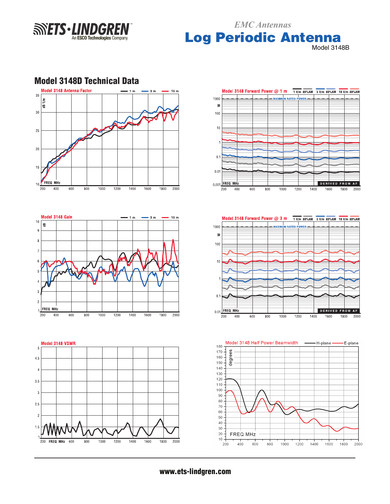**SINETS** - LINDGRE An ESCO Technologies Company Log Periodic Antenna *EMC Antennas*

Model 3148B

DERIVED FROM AF

**DERIVED FROM AF** 

1800 2000

E-plane

1600

- H-plane -

1800 2000

1600

1400

WFR

1200

1400

1400

1600

1800

2000

WFR.



### Model 3148D Technical Data

www.ets-lindgren.com